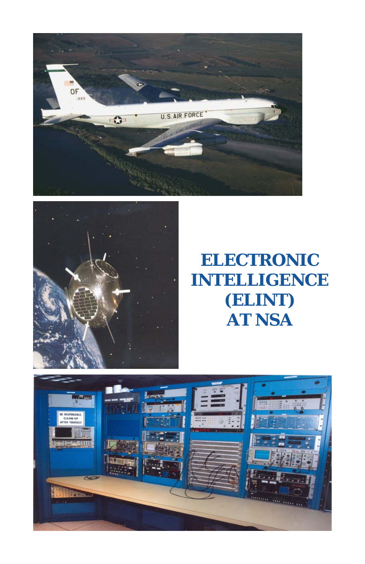



# **ELECTRONIC INTELLIGENCE (ELINT) AT NSA**

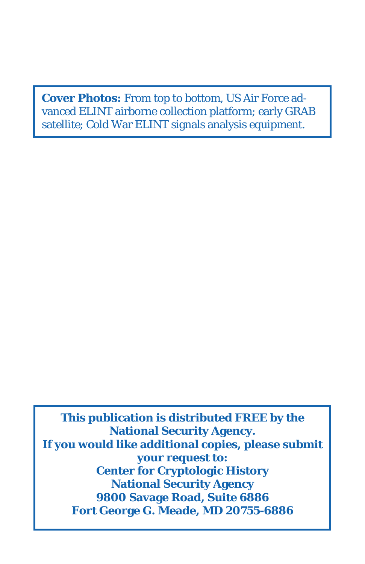**Cover Photos:** From top to bottom, US Air Force advanced ELINT airborne collection platform; early GRAB satellite; Cold War ELINT signals analysis equipment.

**This publication is distributed FREE by the National Security Agency. If you would like additional copies, please submit your request to: Center for Cryptologic History National Security Agency 9800 Savage Road, Suite 6886 Fort George G. Meade, MD 20755-6886**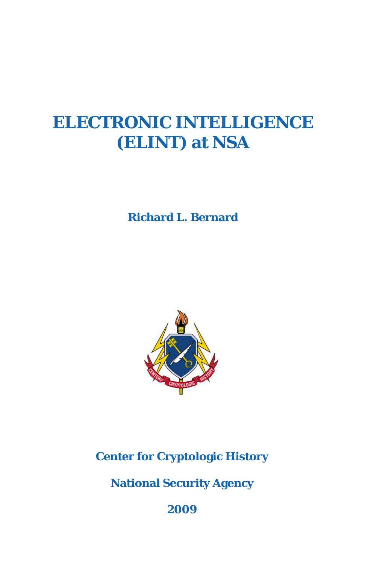# **ELECTRONIC INTELLIGENCE (ELINT) at NSA**

**Richard L. Bernard**



**Center for Cryptologic History**

**National Security Agency**

**2009**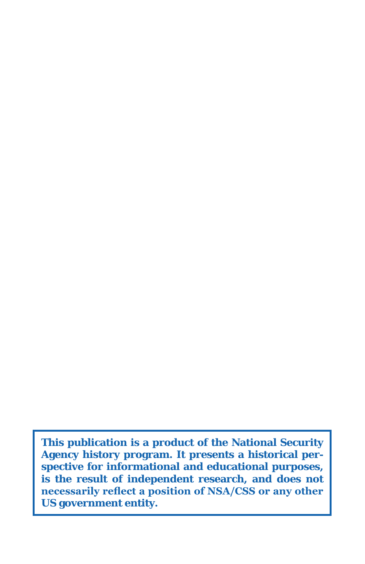**This publication is a product of the National Security Agency history program. It presents a historical perspective for informational and educational purposes, is the result of independent research, and does not necessarily reflect a position of NSA/CSS or any other US government entity.**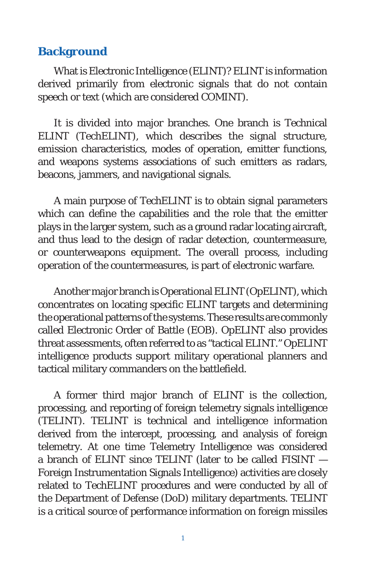#### **Background**

What is Electronic Intelligence (ELINT)? ELINT is information derived primarily from electronic signals that do not contain speech or text (which are considered COMINT).

It is divided into major branches. One branch is Technical ELINT (TechELINT), which describes the signal structure, emission characteristics, modes of operation, emitter functions, and weapons systems associations of such emitters as radars, beacons, jammers, and navigational signals.

A main purpose of TechELINT is to obtain signal parameters which can define the capabilities and the role that the emitter plays in the larger system, such as a ground radar locating aircraft, and thus lead to the design of radar detection, countermeasure, or counterweapons equipment. The overall process, including operation of the countermeasures, is part of electronic warfare.

Another major branch is Operational ELINT (OpELINT), which concentrates on locating specific ELINT targets and determining the operational patterns of the systems. These results are commonly called Electronic Order of Battle (EOB). OpELINT also provides threat assessments, often referred to as "tactical ELINT." OpELINT intelligence products support military operational planners and tactical military commanders on the battlefield.

A former third major branch of ELINT is the collection, processing, and reporting of foreign telemetry signals intelligence (TELINT). TELINT is technical and intelligence information derived from the intercept, processing, and analysis of foreign telemetry. At one time Telemetry Intelligence was considered a branch of ELINT since TELINT (later to be called FISINT — Foreign Instrumentation Signals Intelligence) activities are closely related to TechELINT procedures and were conducted by all of the Department of Defense (DoD) military departments. TELINT is a critical source of performance information on foreign missiles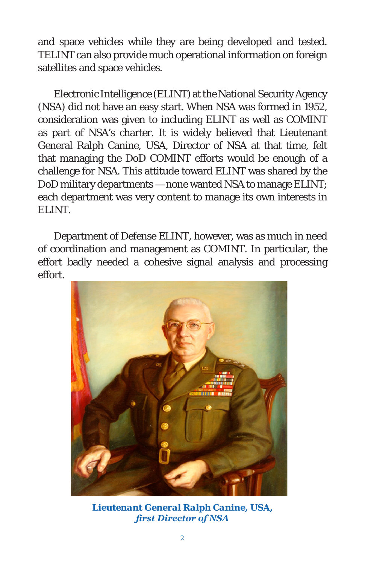and space vehicles while they are being developed and tested. TELINT can also provide much operational information on foreign satellites and space vehicles.

Electronic Intelligence (ELINT) at the National Security Agency (NSA) did not have an easy start. When NSA was formed in 1952, consideration was given to including ELINT as well as COMINT as part of NSA's charter. It is widely believed that Lieutenant General Ralph Canine, USA, Director of NSA at that time, felt that managing the DoD COMINT efforts would be enough of a challenge for NSA. This attitude toward ELINT was shared by the DoD military departments — none wanted NSA to manage ELINT; each department was very content to manage its own interests in ELINT.

Department of Defense ELINT, however, was as much in need of coordination and management as COMINT. In particular, the effort badly needed a cohesive signal analysis and processing effort.



*Lieutenant General Ralph Canine, USA, first Director of NSA*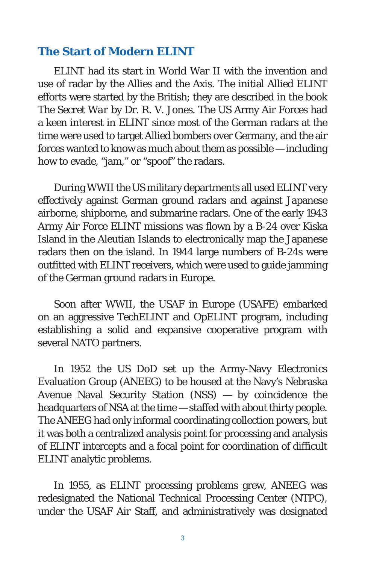#### **The Start of Modern ELINT**

ELINT had its start in World War II with the invention and use of radar by the Allies and the Axis. The initial Allied ELINT efforts were started by the British; they are described in the book *The Secret War* by Dr. R. V. Jones. The US Army Air Forces had a keen interest in ELINT since most of the German radars at the time were used to target Allied bombers over Germany, and the air forces wanted to know as much about them as possible — including how to evade, "jam," or "spoof" the radars.

During WWII the US military departments all used ELINT very effectively against German ground radars and against Japanese airborne, shipborne, and submarine radars. One of the early 1943 Army Air Force ELINT missions was flown by a B-24 over Kiska Island in the Aleutian Islands to electronically map the Japanese radars then on the island. In 1944 large numbers of B-24s were outfitted with ELINT receivers, which were used to guide jamming of the German ground radars in Europe.

Soon after WWII, the USAF in Europe (USAFE) embarked on an aggressive TechELINT and OpELINT program, including establishing a solid and expansive cooperative program with several NATO partners.

In 1952 the US DoD set up the Army-Navy Electronics Evaluation Group (ANEEG) to be housed at the Navy's Nebraska Avenue Naval Security Station (NSS) — by coincidence the headquarters of NSA at the time — staffed with about thirty people. The ANEEG had only informal coordinating collection powers, but it was both a centralized analysis point for processing and analysis of ELINT intercepts and a focal point for coordination of difficult ELINT analytic problems.

In 1955, as ELINT processing problems grew, ANEEG was redesignated the National Technical Processing Center (NTPC), under the USAF Air Staff, and administratively was designated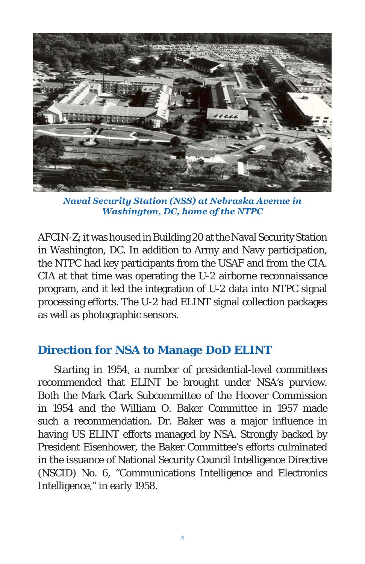

*Naval Security Station (NSS) at Nebraska Avenue in Washington, DC, home of the NTPC*

AFCIN-Z; it was housed in Building 20 at the Naval Security Station in Washington, DC. In addition to Army and Navy participation, the NTPC had key participants from the USAF and from the CIA. CIA at that time was operating the U-2 airborne reconnaissance program, and it led the integration of U-2 data into NTPC signal processing efforts. The U-2 had ELINT signal collection packages as well as photographic sensors.

## **Direction for NSA to Manage DoD ELINT**

Starting in 1954, a number of presidential-level committees recommended that ELINT be brought under NSA's purview. Both the Mark Clark Subcommittee of the Hoover Commission in 1954 and the William O. Baker Committee in 1957 made such a recommendation. Dr. Baker was a major influence in having US ELINT efforts managed by NSA. Strongly backed by President Eisenhower, the Baker Committee's efforts culminated in the issuance of National Security Council Intelligence Directive (NSCID) No. 6, "Communications Intelligence and Electronics Intelligence," in early 1958.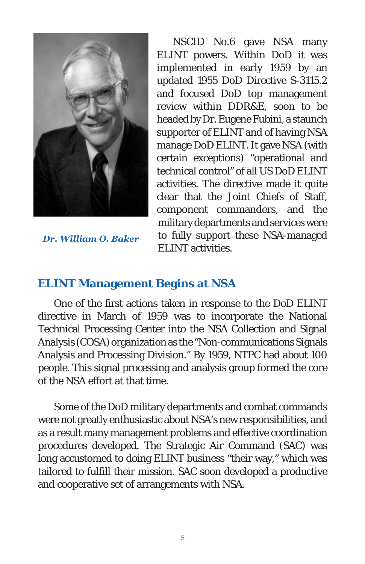

*Dr. William O. Baker*

NSCID No.6 gave NSA many ELINT powers. Within DoD it was implemented in early 1959 by an updated 1955 DoD Directive S-3115.2 and focused DoD top management review within DDR&E, soon to be headed by Dr. Eugene Fubini, a staunch supporter of ELINT and of having NSA manage DoD ELINT. It gave NSA (with certain exceptions) "operational and technical control" of all US DoD ELINT activities. The directive made it quite clear that the Joint Chiefs of Staff, component commanders, and the military departments and services were to fully support these NSA-managed ELINT activities.

## **ELINT Management Begins at NSA**

One of the first actions taken in response to the DoD ELINT directive in March of 1959 was to incorporate the National Technical Processing Center into the NSA Collection and Signal Analysis (COSA) organization as the "Non-communications Signals Analysis and Processing Division." By 1959, NTPC had about 100 people. This signal processing and analysis group formed the core of the NSA effort at that time.

Some of the DoD military departments and combat commands were not greatly enthusiastic about NSA's new responsibilities, and as a result many management problems and effective coordination procedures developed. The Strategic Air Command (SAC) was long accustomed to doing ELINT business "their way," which was tailored to fulfill their mission. SAC soon developed a productive and cooperative set of arrangements with NSA.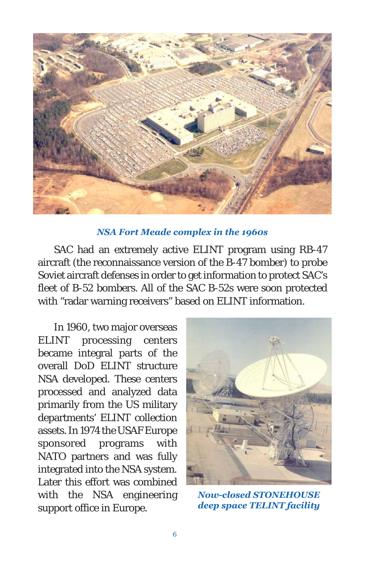

#### *NSA Fort Meade complex in the 1960s*

SAC had an extremely active ELINT program using RB-47 aircraft (the reconnaissance version of the B-47 bomber) to probe Soviet aircraft defenses in order to get information to protect SAC's fleet of B-52 bombers. All of the SAC B-52s were soon protected with "radar warning receivers" based on ELINT information.

In 1960, two major overseas ELINT processing centers became integral parts of the overall DoD ELINT structure NSA developed. These centers processed and analyzed data primarily from the US military departments' ELINT collection assets. In 1974 the USAF Europe sponsored programs with NATO partners and was fully integrated into the NSA system. Later this effort was combined with the NSA engineering support office in Europe.



*Now-closed STONEHOUSE deep space TELINT facility*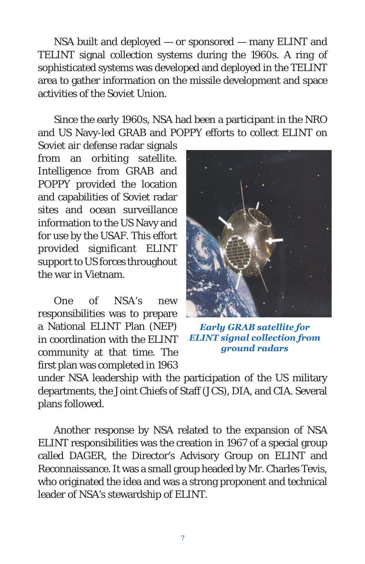NSA built and deployed — or sponsored — many ELINT and TELINT signal collection systems during the 1960s. A ring of sophisticated systems was developed and deployed in the TELINT area to gather information on the missile development and space activities of the Soviet Union.

Since the early 1960s, NSA had been a participant in the NRO and US Navy-led GRAB and POPPY efforts to collect ELINT on

Soviet air defense radar signals from an orbiting satellite. Intelligence from GRAB and POPPY provided the location and capabilities of Soviet radar sites and ocean surveillance information to the US Navy and for use by the USAF. This effort provided significant ELINT support to US forces throughout the war in Vietnam.

One of NSA's new responsibilities was to prepare a National ELINT Plan (NEP) in coordination with the ELINT community at that time. The first plan was completed in 1963



*Early GRAB satellite for ELINT signal collection from ground radars*

under NSA leadership with the participation of the US military departments, the Joint Chiefs of Staff (JCS), DIA, and CIA. Several plans followed.

Another response by NSA related to the expansion of NSA ELINT responsibilities was the creation in 1967 of a special group called DAGER, the Director's Advisory Group on ELINT and Reconnaissance. It was a small group headed by Mr. Charles Tevis, who originated the idea and was a strong proponent and technical leader of NSA's stewardship of ELINT.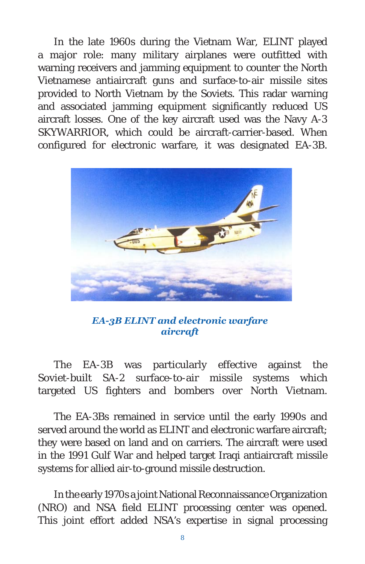In the late 1960s during the Vietnam War, ELINT played a major role: many military airplanes were outfitted with warning receivers and jamming equipment to counter the North Vietnamese antiaircraft guns and surface-to-air missile sites provided to North Vietnam by the Soviets. This radar warning and associated jamming equipment significantly reduced US aircraft losses. One of the key aircraft used was the Navy A-3 SKYWARRIOR, which could be aircraft-carrier-based. When configured for electronic warfare, it was designated EA-3B.



*EA-3B ELINT and electronic warfare aircraft*

The EA-3B was particularly effective against the Soviet-built SA-2 surface-to-air missile systems which targeted US fighters and bombers over North Vietnam.

The EA-3Bs remained in service until the early 1990s and served around the world as ELINT and electronic warfare aircraft; they were based on land and on carriers. The aircraft were used in the 1991 Gulf War and helped target Iraqi antiaircraft missile systems for allied air-to-ground missile destruction.

In the early 1970s a joint National Reconnaissance Organization (NRO) and NSA field ELINT processing center was opened. This joint effort added NSA's expertise in signal processing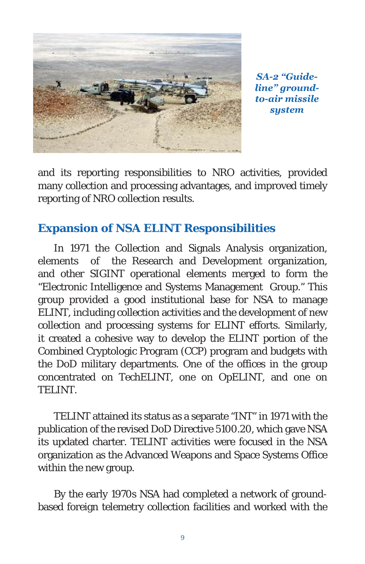

*SA-2 "Guideline" groundto-air missile system*

and its reporting responsibilities to NRO activities, provided many collection and processing advantages, and improved timely reporting of NRO collection results.

# **Expansion of NSA ELINT Responsibilities**

In 1971 the Collection and Signals Analysis organization, elements of the Research and Development organization, and other SIGINT operational elements merged to form the "Electronic Intelligence and Systems Management Group." This group provided a good institutional base for NSA to manage ELINT, including collection activities and the development of new collection and processing systems for ELINT efforts. Similarly, it created a cohesive way to develop the ELINT portion of the Combined Cryptologic Program (CCP) program and budgets with the DoD military departments. One of the offices in the group concentrated on TechELINT, one on OpELINT, and one on TELINT.

TELINT attained its status as a separate "INT" in 1971 with the publication of the revised DoD Directive 5100.20, which gave NSA its updated charter. TELINT activities were focused in the NSA organization as the Advanced Weapons and Space Systems Office within the new group.

By the early 1970s NSA had completed a network of groundbased foreign telemetry collection facilities and worked with the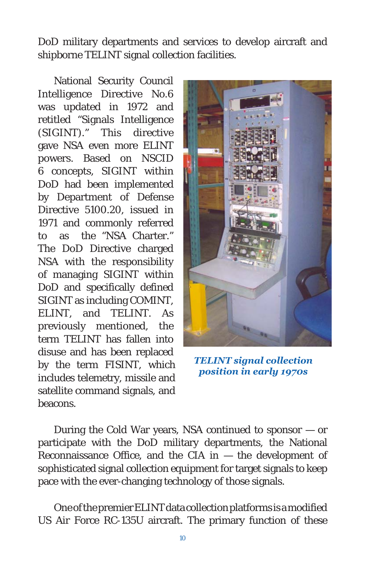DoD military departments and services to develop aircraft and shipborne TELINT signal collection facilities.

National Security Council Intelligence Directive No.6 was updated in 1972 and retitled "Signals Intelligence (SIGINT)." This directive gave NSA even more ELINT powers. Based on NSCID 6 concepts, SIGINT within DoD had been implemented by Department of Defense Directive 5100.20, issued in 1971 and commonly referred to as the "NSA Charter." The DoD Directive charged NSA with the responsibility of managing SIGINT within DoD and specifically defined SIGINT as including COMINT, ELINT, and TELINT. As previously mentioned, the term TELINT has fallen into disuse and has been replaced by the term FISINT, which includes telemetry, missile and satellite command signals, and beacons.



*TELINT signal collection position in early 1970s*

During the Cold War years, NSA continued to sponsor — or participate with the DoD military departments, the National Reconnaissance Office, and the CIA in  $-$  the development of sophisticated signal collection equipment for target signals to keep pace with the ever-changing technology of those signals.

One of the premier ELINT data collection platforms is a modified US Air Force RC-135U aircraft. The primary function of these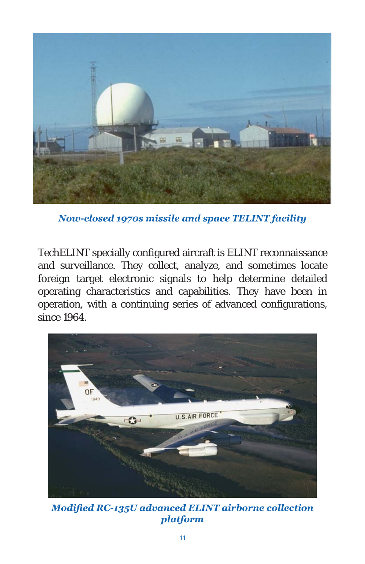

*Now-closed 1970s missile and space TELINT facility*

TechELINT specially configured aircraft is ELINT reconnaissance and surveillance. They collect, analyze, and sometimes locate foreign target electronic signals to help determine detailed operating characteristics and capabilities. They have been in operation, with a continuing series of advanced configurations, since 1964.



*Modified RC-135U advanced ELINT airborne collection platform*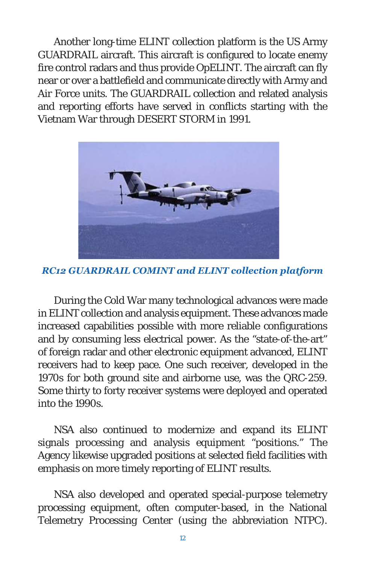Another long-time ELINT collection platform is the US Army GUARDRAIL aircraft. This aircraft is configured to locate enemy fire control radars and thus provide OpELINT. The aircraft can fly near or over a battlefield and communicate directly with Army and Air Force units. The GUARDRAIL collection and related analysis and reporting efforts have served in conflicts starting with the Vietnam War through DESERT STORM in 1991.



*RC12 GUARDRAIL COMINT and ELINT collection platform*

During the Cold War many technological advances were made in ELINT collection and analysis equipment. These advances made increased capabilities possible with more reliable configurations and by consuming less electrical power. As the "state-of-the-art" of foreign radar and other electronic equipment advanced, ELINT receivers had to keep pace. One such receiver, developed in the 1970s for both ground site and airborne use, was the QRC-259. Some thirty to forty receiver systems were deployed and operated into the 1990s.

NSA also continued to modernize and expand its ELINT signals processing and analysis equipment "positions." The Agency likewise upgraded positions at selected field facilities with emphasis on more timely reporting of ELINT results.

NSA also developed and operated special-purpose telemetry processing equipment, often computer-based, in the National Telemetry Processing Center (using the abbreviation NTPC).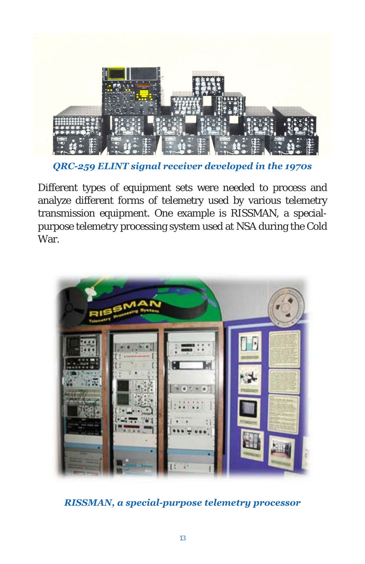

*QRC-259 ELINT signal receiver developed in the 1970s*

Different types of equipment sets were needed to process and analyze different forms of telemetry used by various telemetry transmission equipment. One example is RISSMAN, a specialpurpose telemetry processing system used at NSA during the Cold War.



*RISSMAN, a special-purpose telemetry processor*